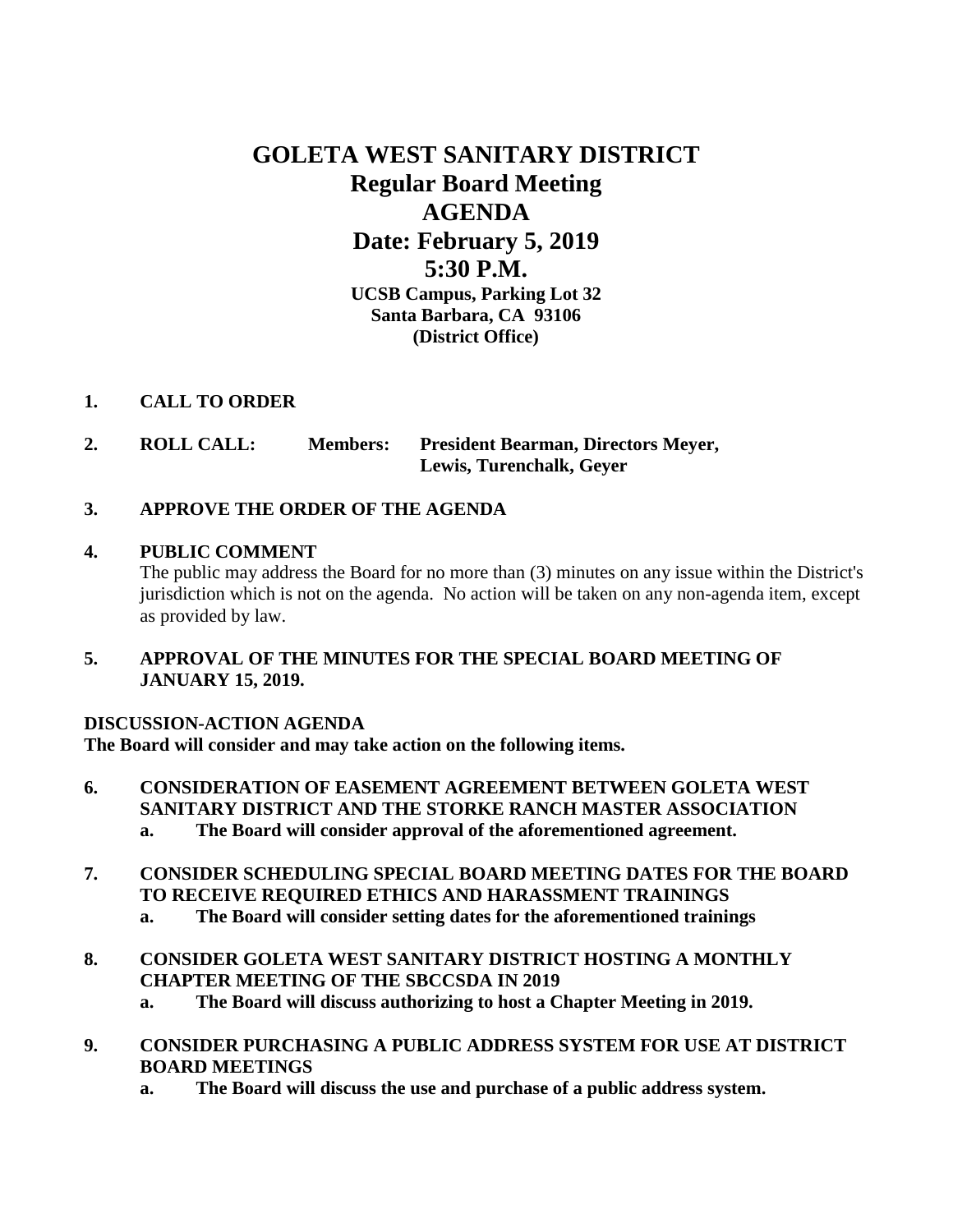# **GOLETA WEST SANITARY DISTRICT Regular Board Meeting AGENDA Date: February 5, 2019 5:30 P.M. UCSB Campus, Parking Lot 32 Santa Barbara, CA 93106 (District Office)**

## **1. CALL TO ORDER**

- **2. ROLL CALL: Members: President Bearman, Directors Meyer, Lewis, Turenchalk, Geyer**
- **3. APPROVE THE ORDER OF THE AGENDA**

# **4. PUBLIC COMMENT**

The public may address the Board for no more than (3) minutes on any issue within the District's jurisdiction which is not on the agenda. No action will be taken on any non-agenda item, except as provided by law.

**5. APPROVAL OF THE MINUTES FOR THE SPECIAL BOARD MEETING OF JANUARY 15, 2019.**

## **DISCUSSION-ACTION AGENDA**

**The Board will consider and may take action on the following items.**

- **6. CONSIDERATION OF EASEMENT AGREEMENT BETWEEN GOLETA WEST SANITARY DISTRICT AND THE STORKE RANCH MASTER ASSOCIATION a. The Board will consider approval of the aforementioned agreement.**
- **7. CONSIDER SCHEDULING SPECIAL BOARD MEETING DATES FOR THE BOARD TO RECEIVE REQUIRED ETHICS AND HARASSMENT TRAININGS**
	- **a. The Board will consider setting dates for the aforementioned trainings**
- **8. CONSIDER GOLETA WEST SANITARY DISTRICT HOSTING A MONTHLY CHAPTER MEETING OF THE SBCCSDA IN 2019**
	- **a. The Board will discuss authorizing to host a Chapter Meeting in 2019.**
- **9. CONSIDER PURCHASING A PUBLIC ADDRESS SYSTEM FOR USE AT DISTRICT BOARD MEETINGS**
	- **a. The Board will discuss the use and purchase of a public address system.**